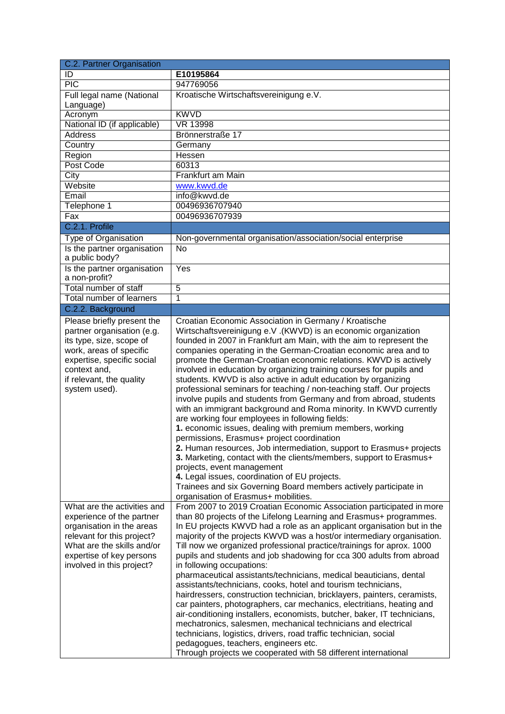| E10195864                                                                                                                                                                                                                                                                                                                                                                                                                                                                                                                                                                                                                                                                                                                                                                                                                                                                                                                                                                                                                                                                                                                                         |  |  |
|---------------------------------------------------------------------------------------------------------------------------------------------------------------------------------------------------------------------------------------------------------------------------------------------------------------------------------------------------------------------------------------------------------------------------------------------------------------------------------------------------------------------------------------------------------------------------------------------------------------------------------------------------------------------------------------------------------------------------------------------------------------------------------------------------------------------------------------------------------------------------------------------------------------------------------------------------------------------------------------------------------------------------------------------------------------------------------------------------------------------------------------------------|--|--|
| 947769056                                                                                                                                                                                                                                                                                                                                                                                                                                                                                                                                                                                                                                                                                                                                                                                                                                                                                                                                                                                                                                                                                                                                         |  |  |
| Kroatische Wirtschaftsvereinigung e.V.                                                                                                                                                                                                                                                                                                                                                                                                                                                                                                                                                                                                                                                                                                                                                                                                                                                                                                                                                                                                                                                                                                            |  |  |
|                                                                                                                                                                                                                                                                                                                                                                                                                                                                                                                                                                                                                                                                                                                                                                                                                                                                                                                                                                                                                                                                                                                                                   |  |  |
| <b>KWVD</b>                                                                                                                                                                                                                                                                                                                                                                                                                                                                                                                                                                                                                                                                                                                                                                                                                                                                                                                                                                                                                                                                                                                                       |  |  |
| <b>VR 13998</b>                                                                                                                                                                                                                                                                                                                                                                                                                                                                                                                                                                                                                                                                                                                                                                                                                                                                                                                                                                                                                                                                                                                                   |  |  |
| Brönnerstraße 17                                                                                                                                                                                                                                                                                                                                                                                                                                                                                                                                                                                                                                                                                                                                                                                                                                                                                                                                                                                                                                                                                                                                  |  |  |
| Germany                                                                                                                                                                                                                                                                                                                                                                                                                                                                                                                                                                                                                                                                                                                                                                                                                                                                                                                                                                                                                                                                                                                                           |  |  |
| Hessen                                                                                                                                                                                                                                                                                                                                                                                                                                                                                                                                                                                                                                                                                                                                                                                                                                                                                                                                                                                                                                                                                                                                            |  |  |
| 60313                                                                                                                                                                                                                                                                                                                                                                                                                                                                                                                                                                                                                                                                                                                                                                                                                                                                                                                                                                                                                                                                                                                                             |  |  |
| Frankfurt am Main                                                                                                                                                                                                                                                                                                                                                                                                                                                                                                                                                                                                                                                                                                                                                                                                                                                                                                                                                                                                                                                                                                                                 |  |  |
| www.kwvd.de                                                                                                                                                                                                                                                                                                                                                                                                                                                                                                                                                                                                                                                                                                                                                                                                                                                                                                                                                                                                                                                                                                                                       |  |  |
| info@kwvd.de                                                                                                                                                                                                                                                                                                                                                                                                                                                                                                                                                                                                                                                                                                                                                                                                                                                                                                                                                                                                                                                                                                                                      |  |  |
| 00496936707940                                                                                                                                                                                                                                                                                                                                                                                                                                                                                                                                                                                                                                                                                                                                                                                                                                                                                                                                                                                                                                                                                                                                    |  |  |
| 00496936707939                                                                                                                                                                                                                                                                                                                                                                                                                                                                                                                                                                                                                                                                                                                                                                                                                                                                                                                                                                                                                                                                                                                                    |  |  |
|                                                                                                                                                                                                                                                                                                                                                                                                                                                                                                                                                                                                                                                                                                                                                                                                                                                                                                                                                                                                                                                                                                                                                   |  |  |
| Non-governmental organisation/association/social enterprise                                                                                                                                                                                                                                                                                                                                                                                                                                                                                                                                                                                                                                                                                                                                                                                                                                                                                                                                                                                                                                                                                       |  |  |
| No                                                                                                                                                                                                                                                                                                                                                                                                                                                                                                                                                                                                                                                                                                                                                                                                                                                                                                                                                                                                                                                                                                                                                |  |  |
| Yes                                                                                                                                                                                                                                                                                                                                                                                                                                                                                                                                                                                                                                                                                                                                                                                                                                                                                                                                                                                                                                                                                                                                               |  |  |
| $\overline{5}$                                                                                                                                                                                                                                                                                                                                                                                                                                                                                                                                                                                                                                                                                                                                                                                                                                                                                                                                                                                                                                                                                                                                    |  |  |
| 1                                                                                                                                                                                                                                                                                                                                                                                                                                                                                                                                                                                                                                                                                                                                                                                                                                                                                                                                                                                                                                                                                                                                                 |  |  |
|                                                                                                                                                                                                                                                                                                                                                                                                                                                                                                                                                                                                                                                                                                                                                                                                                                                                                                                                                                                                                                                                                                                                                   |  |  |
| Croatian Economic Association in Germany / Kroatische                                                                                                                                                                                                                                                                                                                                                                                                                                                                                                                                                                                                                                                                                                                                                                                                                                                                                                                                                                                                                                                                                             |  |  |
| Wirtschaftsvereinigung e.V. (KWVD) is an economic organization<br>founded in 2007 in Frankfurt am Main, with the aim to represent the<br>companies operating in the German-Croatian economic area and to<br>promote the German-Croatian economic relations. KWVD is actively<br>involved in education by organizing training courses for pupils and<br>students. KWVD is also active in adult education by organizing<br>professional seminars for teaching / non-teaching staff. Our projects<br>involve pupils and students from Germany and from abroad, students<br>with an immigrant background and Roma minority. In KWVD currently<br>are working four employees in following fields:<br>1. economic issues, dealing with premium members, working<br>permissions, Erasmus+ project coordination<br>2. Human resources, Job intermediation, support to Erasmus+ projects<br>3. Marketing, contact with the clients/members, support to Erasmus+<br>projects, event management<br>4. Legal issues, coordination of EU projects.<br>Trainees and six Governing Board members actively participate in<br>organisation of Erasmus+ mobilities. |  |  |
| From 2007 to 2019 Croatian Economic Association participated in more                                                                                                                                                                                                                                                                                                                                                                                                                                                                                                                                                                                                                                                                                                                                                                                                                                                                                                                                                                                                                                                                              |  |  |
| than 80 projects of the Lifelong Learning and Erasmus+ programmes.<br>In EU projects KWVD had a role as an applicant organisation but in the<br>majority of the projects KWVD was a host/or intermediary organisation.<br>Till now we organized professional practice/trainings for aprox. 1000<br>pupils and students and job shadowing for cca 300 adults from abroad<br>in following occupations:<br>pharmaceutical assistants/technicians, medical beauticians, dental<br>assistants/technicians, cooks, hotel and tourism technicians,<br>hairdressers, construction technician, bricklayers, painters, ceramists,<br>car painters, photographers, car mechanics, electritians, heating and<br>air-conditioning installers, economists, butcher, baker, IT technicians,<br>mechatronics, salesmen, mechanical technicians and electrical<br>technicians, logistics, drivers, road traffic technician, social<br>pedagogues, teachers, engineers etc.<br>Through projects we cooperated with 58 different international                                                                                                                       |  |  |
|                                                                                                                                                                                                                                                                                                                                                                                                                                                                                                                                                                                                                                                                                                                                                                                                                                                                                                                                                                                                                                                                                                                                                   |  |  |